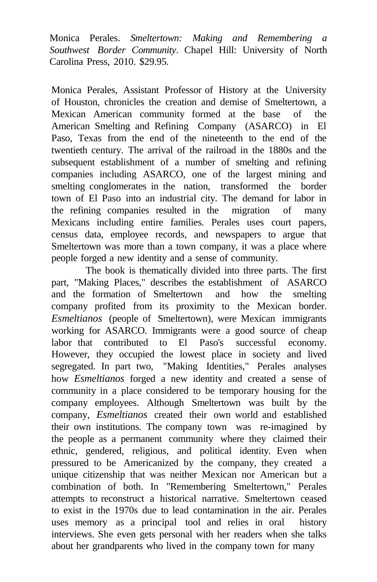Monica Perales. *Smeltertown: Making and Remembering a Southwest Border Community*. Chapel Hill: University of North Carolina Press, 2010. \$29.95.

Monica Perales, Assistant Professor of History at the University of Houston, chronicles the creation and demise of Smeltertown, a Mexican American community formed at the base of the American Smelting and Refining Company (ASARCO) in El Paso, Texas from the end of the nineteenth to the end of the twentieth century. The arrival of the railroad in the 1880s and the subsequent establishment of a number of smelting and refining companies including ASARCO, one of the largest mining and smelting conglomerates in the nation, transformed the border town of El Paso into an industrial city. The demand for labor in the refining companies resulted in the migration of many Mexicans including entire families. Perales uses court papers, census data, employee records, and newspapers to argue that Smeltertown was more than a town company, it was a place where people forged a new identity and a sense of community.

The book is thematically divided into three parts. The first part, "Making Places," describes the establishment of ASARCO and the formation of Smeltertown and how the smelting company profited from its proximity to the Mexican border. *Esmeltianos* (people of Smeltertown), were Mexican immigrants working for ASARCO. Immigrants were a good source of cheap labor that contributed to El Paso's successful economy. However, they occupied the lowest place in society and lived segregated. In part two, "Making Identities," Perales analyses how *Esmeltianos* forged a new identity and created a sense of community in a place considered to be temporary housing for the company employees. Although Smeltertown was built by the company, *Esmeltianos* created their own world and established their own institutions. The company town was re-imagined by the people as a permanent community where they claimed their ethnic, gendered, religious, and political identity. Even when pressured to be Americanized by the company, they created a unique citizenship that was neither Mexican nor American but a combination of both. In "Remembering Smeltertown," Perales attempts to reconstruct a historical narrative. Smeltertown ceased to exist in the 1970s due to lead contamination in the air. Perales uses memory as a principal tool and relies in oral history interviews. She even gets personal with her readers when she talks about her grandparents who lived in the company town for many